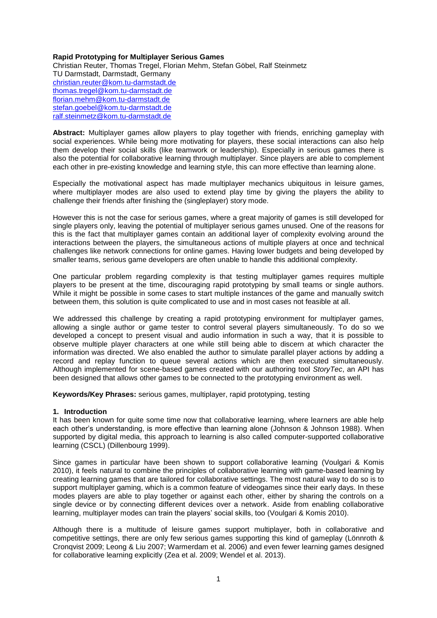### **Rapid Prototyping for Multiplayer Serious Games**

Christian Reuter, Thomas Tregel, Florian Mehm, Stefan Göbel, Ralf Steinmetz TU Darmstadt, Darmstadt, Germany [christian.reuter@kom.tu-darmstadt.de](mailto:christian.reuter@kom.tu-darmstadt.de) [thomas.tregel@kom.tu-darmstadt.de](mailto:thomas.tregel@kom.tu-darmstadt.de) [florian.mehm@kom.tu-darmstadt.de](mailto:florian.mehm@kom.tu-darmstadt.de) [stefan.goebel@kom.tu-darmstadt.de](mailto:stefan.goebel@kom.tu-darmstadt.de) [ralf.steinmetz@kom.tu-darmstadt.de](mailto:ralf.steinmetz@kom.tu-darmstadt.de)

**Abstract:** Multiplayer games allow players to play together with friends, enriching gameplay with social experiences. While being more motivating for players, these social interactions can also help them develop their social skills (like teamwork or leadership). Especially in serious games there is also the potential for collaborative learning through multiplayer. Since players are able to complement each other in pre-existing knowledge and learning style, this can more effective than learning alone.

Especially the motivational aspect has made multiplayer mechanics ubiquitous in leisure games, where multiplayer modes are also used to extend play time by giving the players the ability to challenge their friends after finishing the (singleplayer) story mode.

However this is not the case for serious games, where a great majority of games is still developed for single players only, leaving the potential of multiplayer serious games unused. One of the reasons for this is the fact that multiplayer games contain an additional layer of complexity evolving around the interactions between the players, the simultaneous actions of multiple players at once and technical challenges like network connections for online games. Having lower budgets and being developed by smaller teams, serious game developers are often unable to handle this additional complexity.

One particular problem regarding complexity is that testing multiplayer games requires multiple players to be present at the time, discouraging rapid prototyping by small teams or single authors. While it might be possible in some cases to start multiple instances of the game and manually switch between them, this solution is quite complicated to use and in most cases not feasible at all.

We addressed this challenge by creating a rapid prototyping environment for multiplayer games, allowing a single author or game tester to control several players simultaneously. To do so we developed a concept to present visual and audio information in such a way, that it is possible to observe multiple player characters at one while still being able to discern at which character the information was directed. We also enabled the author to simulate parallel player actions by adding a record and replay function to queue several actions which are then executed simultaneously. Although implemented for scene-based games created with our authoring tool *StoryTec*, an API has been designed that allows other games to be connected to the prototyping environment as well.

**Keywords/Key Phrases:** serious games, multiplayer, rapid prototyping, testing

#### **1. Introduction**

It has been known for quite some time now that collaborative learning, where learners are able help each other's understanding, is more effective than learning alone (Johnson & Johnson 1988). When supported by digital media, this approach to learning is also called computer-supported collaborative learning (CSCL) (Dillenbourg 1999).

Since games in particular have been shown to support collaborative learning (Voulgari & Komis 2010), it feels natural to combine the principles of collaborative learning with game-based learning by creating learning games that are tailored for collaborative settings. The most natural way to do so is to support multiplayer gaming, which is a common feature of videogames since their early days. In these modes players are able to play together or against each other, either by sharing the controls on a single device or by connecting different devices over a network. Aside from enabling collaborative learning, multiplayer modes can train the players' social skills, too (Voulgari & Komis 2010).

Although there is a multitude of leisure games support multiplayer, both in collaborative and competitive settings, there are only few serious games supporting this kind of gameplay (Lönnroth & Cronqvist 2009; Leong & Liu 2007; Warmerdam et al. 2006) and even fewer learning games designed for collaborative learning explicitly (Zea et al. 2009; Wendel et al. 2013).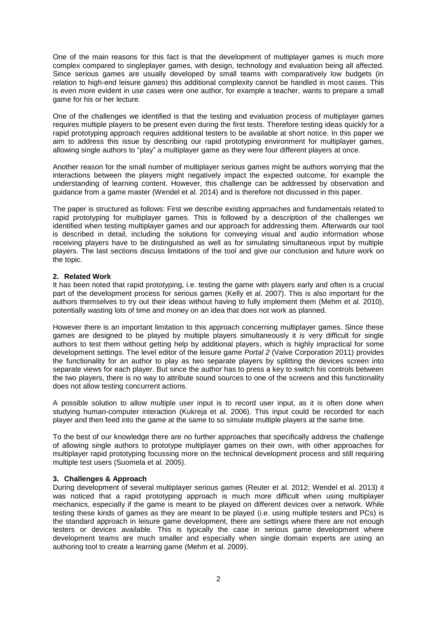One of the main reasons for this fact is that the development of multiplayer games is much more complex compared to singleplayer games, with design, technology and evaluation being all affected. Since serious games are usually developed by small teams with comparatively low budgets (in relation to high-end leisure games) this additional complexity cannot be handled in most cases. This is even more evident in use cases were one author, for example a teacher, wants to prepare a small game for his or her lecture.

One of the challenges we identified is that the testing and evaluation process of multiplayer games requires multiple players to be present even during the first tests. Therefore testing ideas quickly for a rapid prototyping approach requires additional testers to be available at short notice. In this paper we aim to address this issue by describing our rapid prototyping environment for multiplayer games, allowing single authors to "play" a multiplayer game as they were four different players at once.

Another reason for the small number of multiplayer serious games might be authors worrying that the interactions between the players might negatively impact the expected outcome, for example the understanding of learning content. However, this challenge can be addressed by observation and guidance from a game master (Wendel et al. 2014) and is therefore not discussed in this paper.

The paper is structured as follows: First we describe existing approaches and fundamentals related to rapid prototyping for multiplayer games. This is followed by a description of the challenges we identified when testing multiplayer games and our approach for addressing them. Afterwards our tool is described in detail, including the solutions for conveying visual and audio information whose receiving players have to be distinguished as well as for simulating simultaneous input by multiple players. The last sections discuss limitations of the tool and give our conclusion and future work on the topic.

### **2. Related Work**

It has been noted that rapid prototyping, i.e. testing the game with players early and often is a crucial part of the development process for serious games (Kelly et al. 2007). This is also important for the authors themselves to try out their ideas without having to fully implement them (Mehm et al. 2010), potentially wasting lots of time and money on an idea that does not work as planned.

However there is an important limitation to this approach concerning multiplayer games. Since these games are designed to be played by multiple players simultaneously it is very difficult for single authors to test them without getting help by additional players, which is highly impractical for some development settings. The level editor of the leisure game *Portal 2* (Valve Corporation 2011) provides the functionality for an author to play as two separate players by splitting the devices screen into separate views for each player. But since the author has to press a key to switch his controls between the two players, there is no way to attribute sound sources to one of the screens and this functionality does not allow testing concurrent actions.

A possible solution to allow multiple user input is to record user input, as it is often done when studying human-computer interaction (Kukreja et al. 2006). This input could be recorded for each player and then feed into the game at the same to so simulate multiple players at the same time.

To the best of our knowledge there are no further approaches that specifically address the challenge of allowing single authors to prototype multiplayer games on their own, with other approaches for multiplayer rapid prototyping focussing more on the technical development process and still requiring multiple test users (Suomela et al. 2005).

# **3. Challenges & Approach**

During development of several multiplayer serious games (Reuter et al. 2012; Wendel et al. 2013) it was noticed that a rapid prototyping approach is much more difficult when using multiplayer mechanics, especially if the game is meant to be played on different devices over a network. While testing these kinds of games as they are meant to be played (i.e. using multiple testers and PCs) is the standard approach in leisure game development, there are settings where there are not enough testers or devices available. This is typically the case in serious game development where development teams are much smaller and especially when single domain experts are using an authoring tool to create a learning game (Mehm et al. 2009).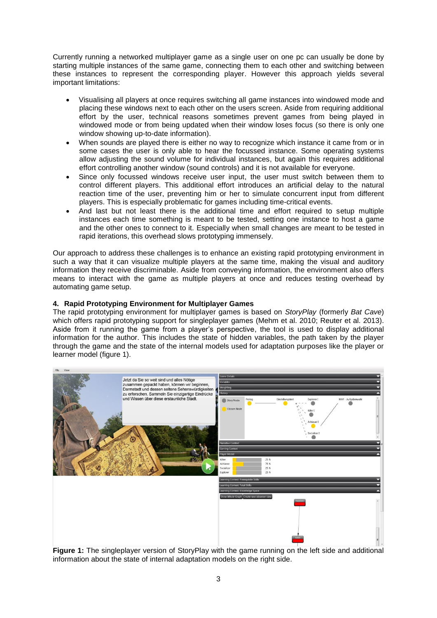Currently running a networked multiplayer game as a single user on one pc can usually be done by starting multiple instances of the same game, connecting them to each other and switching between these instances to represent the corresponding player. However this approach yields several important limitations:

- Visualising all players at once requires switching all game instances into windowed mode and placing these windows next to each other on the users screen. Aside from requiring additional effort by the user, technical reasons sometimes prevent games from being played in windowed mode or from being updated when their window loses focus (so there is only one window showing up-to-date information).
- When sounds are played there is either no way to recognize which instance it came from or in some cases the user is only able to hear the focussed instance. Some operating systems allow adjusting the sound volume for individual instances, but again this requires additional effort controlling another window (sound controls) and it is not available for everyone.
- Since only focussed windows receive user input, the user must switch between them to control different players. This additional effort introduces an artificial delay to the natural reaction time of the user, preventing him or her to simulate concurrent input from different players. This is especially problematic for games including time-critical events.
- And last but not least there is the additional time and effort required to setup multiple instances each time something is meant to be tested, setting one instance to host a game and the other ones to connect to it. Especially when small changes are meant to be tested in rapid iterations, this overhead slows prototyping immensely.

Our approach to address these challenges is to enhance an existing rapid prototyping environment in such a way that it can visualize multiple players at the same time, making the visual and auditory information they receive discriminable. Aside from conveying information, the environment also offers means to interact with the game as multiple players at once and reduces testing overhead by automating game setup.

# **4. Rapid Prototyping Environment for Multiplayer Games**

The rapid prototyping environment for multiplayer games is based on *StoryPlay* (formerly *Bat Cave*) which offers rapid prototyping support for singleplayer games (Mehm et al. 2010; Reuter et al. 2013). Aside from it running the game from a player's perspective, the tool is used to display additional information for the author. This includes the state of hidden variables, the path taken by the player through the game and the state of the internal models used for adaptation purposes like the player or learner model (figure 1).



**Figure 1:** The singleplayer version of StoryPlay with the game running on the left side and additional information about the state of internal adaptation models on the right side.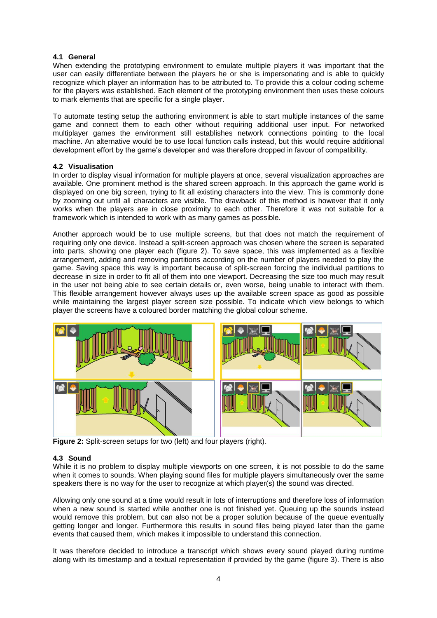### **4.1 General**

When extending the prototyping environment to emulate multiple players it was important that the user can easily differentiate between the players he or she is impersonating and is able to quickly recognize which player an information has to be attributed to. To provide this a colour coding scheme for the players was established. Each element of the prototyping environment then uses these colours to mark elements that are specific for a single player.

To automate testing setup the authoring environment is able to start multiple instances of the same game and connect them to each other without requiring additional user input. For networked multiplayer games the environment still establishes network connections pointing to the local machine. An alternative would be to use local function calls instead, but this would require additional development effort by the game's developer and was therefore dropped in favour of compatibility.

#### **4.2 Visualisation**

In order to display visual information for multiple players at once, several visualization approaches are available. One prominent method is the shared screen approach. In this approach the game world is displayed on one big screen, trying to fit all existing characters into the view. This is commonly done by zooming out until all characters are visible. The drawback of this method is however that it only works when the players are in close proximity to each other. Therefore it was not suitable for a framework which is intended to work with as many games as possible.

Another approach would be to use multiple screens, but that does not match the requirement of requiring only one device. Instead a split-screen approach was chosen where the screen is separated into parts, showing one player each (figure 2). To save space, this was implemented as a flexible arrangement, adding and removing partitions according on the number of players needed to play the game. Saving space this way is important because of split-screen forcing the individual partitions to decrease in size in order to fit all of them into one viewport. Decreasing the size too much may result in the user not being able to see certain details or, even worse, being unable to interact with them. This flexible arrangement however always uses up the available screen space as good as possible while maintaining the largest player screen size possible. To indicate which view belongs to which player the screens have a coloured border matching the global colour scheme.



**Figure 2:** Split-screen setups for two (left) and four players (right).

# **4.3 Sound**

While it is no problem to display multiple viewports on one screen, it is not possible to do the same when it comes to sounds. When playing sound files for multiple players simultaneously over the same speakers there is no way for the user to recognize at which player(s) the sound was directed.

Allowing only one sound at a time would result in lots of interruptions and therefore loss of information when a new sound is started while another one is not finished yet. Queuing up the sounds instead would remove this problem, but can also not be a proper solution because of the queue eventually getting longer and longer. Furthermore this results in sound files being played later than the game events that caused them, which makes it impossible to understand this connection.

It was therefore decided to introduce a transcript which shows every sound played during runtime along with its timestamp and a textual representation if provided by the game (figure 3). There is also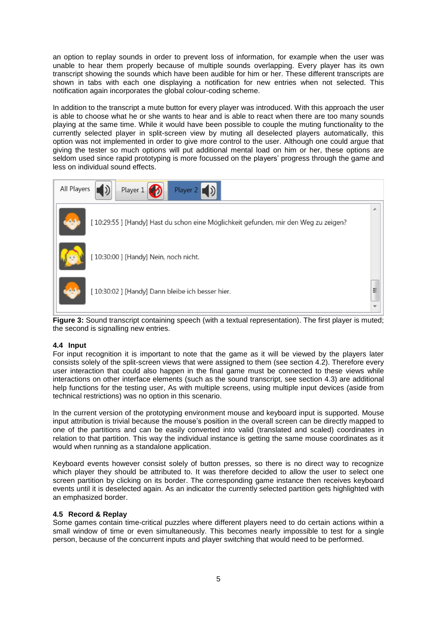an option to replay sounds in order to prevent loss of information, for example when the user was unable to hear them properly because of multiple sounds overlapping. Every player has its own transcript showing the sounds which have been audible for him or her. These different transcripts are shown in tabs with each one displaying a notification for new entries when not selected. This notification again incorporates the global colour-coding scheme.

In addition to the transcript a mute button for every player was introduced. With this approach the user is able to choose what he or she wants to hear and is able to react when there are too many sounds playing at the same time. While it would have been possible to couple the muting functionality to the currently selected player in split-screen view by muting all deselected players automatically, this option was not implemented in order to give more control to the user. Although one could argue that giving the tester so much options will put additional mental load on him or her, these options are seldom used since rapid prototyping is more focussed on the players' progress through the game and less on individual sound effects.



Figure 3: Sound transcript containing speech (with a textual representation). The first player is muted; the second is signalling new entries.

# **4.4 Input**

For input recognition it is important to note that the game as it will be viewed by the players later consists solely of the split-screen views that were assigned to them (see section 4.2). Therefore every user interaction that could also happen in the final game must be connected to these views while interactions on other interface elements (such as the sound transcript, see section 4.3) are additional help functions for the testing user, As with multiple screens, using multiple input devices (aside from technical restrictions) was no option in this scenario.

In the current version of the prototyping environment mouse and keyboard input is supported. Mouse input attribution is trivial because the mouse's position in the overall screen can be directly mapped to one of the partitions and can be easily converted into valid (translated and scaled) coordinates in relation to that partition. This way the individual instance is getting the same mouse coordinates as it would when running as a standalone application.

Keyboard events however consist solely of button presses, so there is no direct way to recognize which player they should be attributed to. It was therefore decided to allow the user to select one screen partition by clicking on its border. The corresponding game instance then receives keyboard events until it is deselected again. As an indicator the currently selected partition gets highlighted with an emphasized border.

#### **4.5 Record & Replay**

Some games contain time-critical puzzles where different players need to do certain actions within a small window of time or even simultaneously. This becomes nearly impossible to test for a single person, because of the concurrent inputs and player switching that would need to be performed.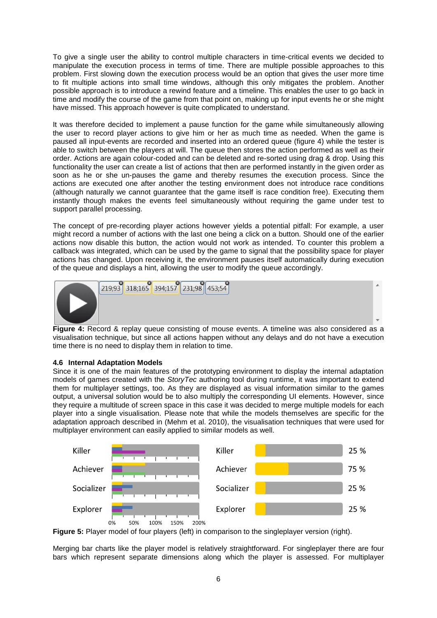To give a single user the ability to control multiple characters in time-critical events we decided to manipulate the execution process in terms of time. There are multiple possible approaches to this problem. First slowing down the execution process would be an option that gives the user more time to fit multiple actions into small time windows, although this only mitigates the problem. Another possible approach is to introduce a rewind feature and a timeline. This enables the user to go back in time and modify the course of the game from that point on, making up for input events he or she might have missed. This approach however is quite complicated to understand.

It was therefore decided to implement a pause function for the game while simultaneously allowing the user to record player actions to give him or her as much time as needed. When the game is paused all input-events are recorded and inserted into an ordered queue (figure 4) while the tester is able to switch between the players at will. The queue then stores the action performed as well as their order. Actions are again colour-coded and can be deleted and re-sorted using drag & drop. Using this functionality the user can create a list of actions that then are performed instantly in the given order as soon as he or she un-pauses the game and thereby resumes the execution process. Since the actions are executed one after another the testing environment does not introduce race conditions (although naturally we cannot guarantee that the game itself is race condition free). Executing them instantly though makes the events feel simultaneously without requiring the game under test to support parallel processing.

The concept of pre-recording player actions however yields a potential pitfall: For example, a user might record a number of actions with the last one being a click on a button. Should one of the earlier actions now disable this button, the action would not work as intended. To counter this problem a callback was integrated, which can be used by the game to signal that the possibility space for player actions has changed. Upon receiving it, the environment pauses itself automatically during execution of the queue and displays a hint, allowing the user to modify the queue accordingly.



**Figure 4:** Record & replay queue consisting of mouse events. A timeline was also considered as a visualisation technique, but since all actions happen without any delays and do not have a execution time there is no need to display them in relation to time.

# **4.6 Internal Adaptation Models**

Since it is one of the main features of the prototyping environment to display the internal adaptation models of games created with the *StoryTec* authoring tool during runtime, it was important to extend them for multiplayer settings, too. As they are displayed as visual information similar to the games output, a universal solution would be to also multiply the corresponding UI elements. However, since they require a multitude of screen space in this case it was decided to merge multiple models for each player into a single visualisation. Please note that while the models themselves are specific for the adaptation approach described in (Mehm et al. 2010), the visualisation techniques that were used for multiplayer environment can easily applied to similar models as well.



**Figure 5:** Player model of four players (left) in comparison to the singleplayer version (right).

Merging bar charts like the player model is relatively straightforward. For singleplayer there are four bars which represent separate dimensions along which the player is assessed. For multiplayer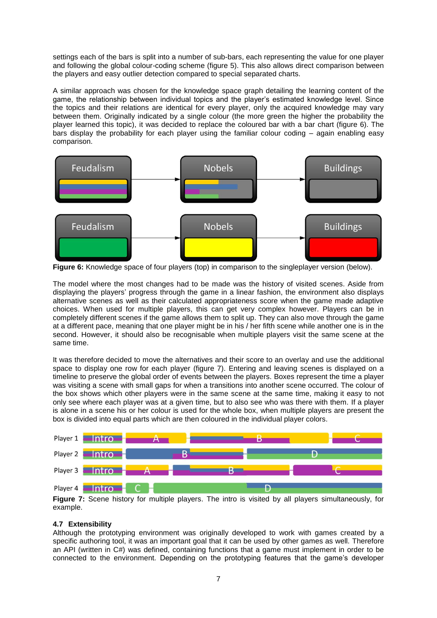settings each of the bars is split into a number of sub-bars, each representing the value for one player and following the global colour-coding scheme (figure 5). This also allows direct comparison between the players and easy outlier detection compared to special separated charts.

A similar approach was chosen for the knowledge space graph detailing the learning content of the game, the relationship between individual topics and the player's estimated knowledge level. Since the topics and their relations are identical for every player, only the acquired knowledge may vary between them. Originally indicated by a single colour (the more green the higher the probability the player learned this topic), it was decided to replace the coloured bar with a bar chart (figure 6). The bars display the probability for each player using the familiar colour coding – again enabling easy comparison.



**Figure 6:** Knowledge space of four players (top) in comparison to the singleplayer version (below).

The model where the most changes had to be made was the history of visited scenes. Aside from displaying the players' progress through the game in a linear fashion, the environment also displays alternative scenes as well as their calculated appropriateness score when the game made adaptive choices. When used for multiple players, this can get very complex however. Players can be in completely different scenes if the game allows them to split up. They can also move through the game at a different pace, meaning that one player might be in his / her fifth scene while another one is in the second. However, it should also be recognisable when multiple players visit the same scene at the same time.

It was therefore decided to move the alternatives and their score to an overlay and use the additional space to display one row for each player (figure 7). Entering and leaving scenes is displayed on a timeline to preserve the global order of events between the players. Boxes represent the time a player was visiting a scene with small gaps for when a transitions into another scene occurred. The colour of the box shows which other players were in the same scene at the same time, making it easy to not only see where each player was at a given time, but to also see who was there with them. If a player is alone in a scene his or her colour is used for the whole box, when multiple players are present the box is divided into equal parts which are then coloured in the individual player colors.



**Figure 7:** Scene history for multiple players. The intro is visited by all players simultaneously, for example.

# **4.7 Extensibility**

Although the prototyping environment was originally developed to work with games created by a specific authoring tool, it was an important goal that it can be used by other games as well. Therefore an API (written in C#) was defined, containing functions that a game must implement in order to be connected to the environment. Depending on the prototyping features that the game's developer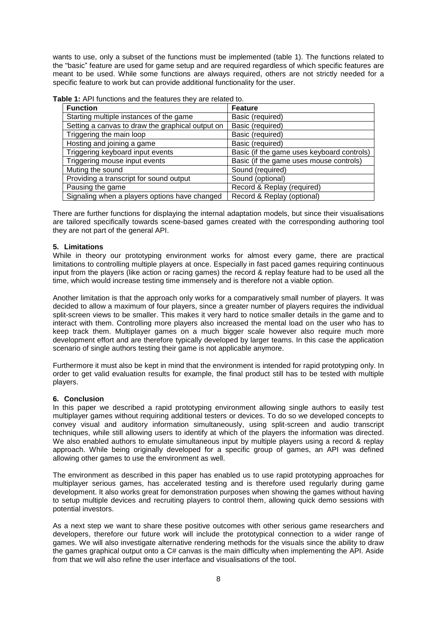wants to use, only a subset of the functions must be implemented (table 1). The functions related to the "basic" feature are used for game setup and are required regardless of which specific features are meant to be used. While some functions are always required, others are not strictly needed for a specific feature to work but can provide additional functionality for the user.

| <b>Function</b>                                  | <b>Feature</b>                             |
|--------------------------------------------------|--------------------------------------------|
| Starting multiple instances of the game          | Basic (required)                           |
| Setting a canvas to draw the graphical output on | Basic (required)                           |
| Triggering the main loop                         | Basic (required)                           |
| Hosting and joining a game                       | Basic (required)                           |
| Triggering keyboard input events                 | Basic (if the game uses keyboard controls) |
| Triggering mouse input events                    | Basic (if the game uses mouse controls)    |
| Muting the sound                                 | Sound (required)                           |
| Providing a transcript for sound output          | Sound (optional)                           |
| Pausing the game                                 | Record & Replay (required)                 |
| Signaling when a players options have changed    | Record & Replay (optional)                 |

**Table 1:** API functions and the features they are related to.

There are further functions for displaying the internal adaptation models, but since their visualisations are tailored specifically towards scene-based games created with the corresponding authoring tool they are not part of the general API.

### **5. Limitations**

While in theory our prototyping environment works for almost every game, there are practical limitations to controlling multiple players at once. Especially in fast paced games requiring continuous input from the players (like action or racing games) the record & replay feature had to be used all the time, which would increase testing time immensely and is therefore not a viable option.

Another limitation is that the approach only works for a comparatively small number of players. It was decided to allow a maximum of four players, since a greater number of players requires the individual split-screen views to be smaller. This makes it very hard to notice smaller details in the game and to interact with them. Controlling more players also increased the mental load on the user who has to keep track them. Multiplayer games on a much bigger scale however also require much more development effort and are therefore typically developed by larger teams. In this case the application scenario of single authors testing their game is not applicable anymore.

Furthermore it must also be kept in mind that the environment is intended for rapid prototyping only. In order to get valid evaluation results for example, the final product still has to be tested with multiple players.

#### **6. Conclusion**

In this paper we described a rapid prototyping environment allowing single authors to easily test multiplayer games without requiring additional testers or devices. To do so we developed concepts to convey visual and auditory information simultaneously, using split-screen and audio transcript techniques, while still allowing users to identify at which of the players the information was directed. We also enabled authors to emulate simultaneous input by multiple players using a record & replay approach. While being originally developed for a specific group of games, an API was defined allowing other games to use the environment as well.

The environment as described in this paper has enabled us to use rapid prototyping approaches for multiplayer serious games, has accelerated testing and is therefore used regularly during game development. It also works great for demonstration purposes when showing the games without having to setup multiple devices and recruiting players to control them, allowing quick demo sessions with potential investors.

As a next step we want to share these positive outcomes with other serious game researchers and developers, therefore our future work will include the prototypical connection to a wider range of games. We will also investigate alternative rendering methods for the visuals since the ability to draw the games graphical output onto a C# canvas is the main difficulty when implementing the API. Aside from that we will also refine the user interface and visualisations of the tool.